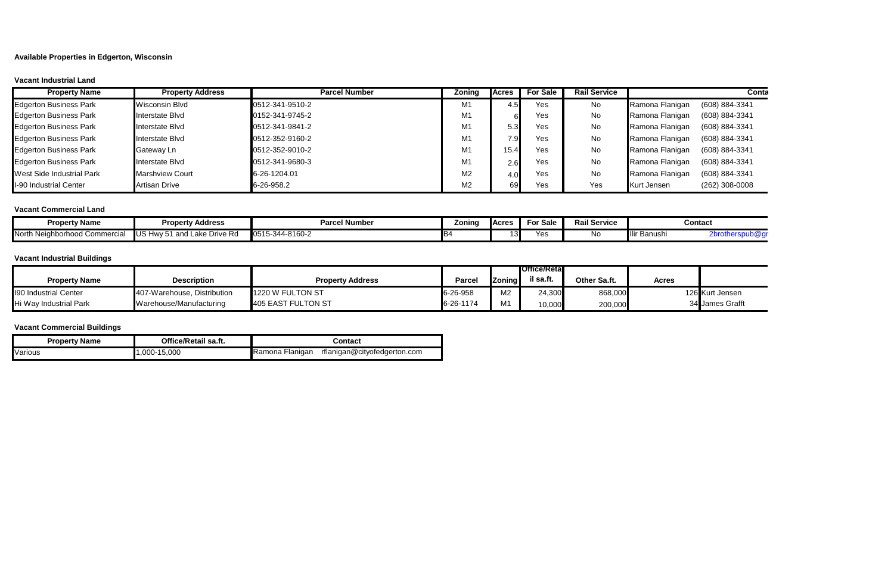**Available Properties in Edgerton, Wisconsin**

## **Vacant Industrial Land**

| <b>Property Name</b>          | <b>Property Address</b> | <b>Parcel Number</b> | Zoning         | <b>IAcres</b> | <b>For Sale</b> | <b>Rail Service</b> |                 | Conta          |
|-------------------------------|-------------------------|----------------------|----------------|---------------|-----------------|---------------------|-----------------|----------------|
| <b>Edgerton Business Park</b> | <b>Wisconsin Blvd</b>   | 0512-341-9510-2      | M1             | 4.5           | Yes             | <b>No</b>           | Ramona Flanigan | (608) 884-3341 |
| <b>Edgerton Business Park</b> | Interstate Blvd         | 0152-341-9745-2      | M <sub>1</sub> |               | Yes             | No                  | Ramona Flanigan | (608) 884-3341 |
| <b>Edgerton Business Park</b> | Interstate Blvd         | 0512-341-9841-2      | M <sub>1</sub> |               | Yes             | No                  | Ramona Flanigan | (608) 884-3341 |
| <b>Edgerton Business Park</b> | Interstate Blvd         | 0512-352-9160-2      | M <sub>1</sub> | ု့9           | Yes             | <b>No</b>           | Ramona Flanigan | (608) 884-3341 |
| <b>Edgerton Business Park</b> | Gateway Ln              | 0512-352-9010-2      | M <sub>1</sub> | 15.4          | Yes             | No                  | Ramona Flanigan | (608) 884-3341 |
| <b>Edgerton Business Park</b> | Interstate Blvd         | 0512-341-9680-3      | M <sub>1</sub> | 2.6           | Yes             | No.                 | Ramona Flanigan | (608) 884-3341 |
| West Side Industrial Park     | <b>Marshview Court</b>  | 6-26-1204.01         | M <sub>2</sub> |               | Yes             | No                  | Ramona Flanigan | (608) 884-3341 |
| I-90 Industrial Center        | Artisan Drive           | 6-26-958.2           | M <sub>2</sub> | 69            | Yes             | Yes                 | Kurt Jensen     | (262) 308-0008 |

## **Vacant Commercial Land**

| <b>Property Name</b>                | <b>Property Address</b>              | <b>Parcel Number</b> | Zoning | Acres | <b>For Sale</b> | Rail Service |                          | Contact |
|-------------------------------------|--------------------------------------|----------------------|--------|-------|-----------------|--------------|--------------------------|---------|
| North Neighborhood Comme<br>mercial | Lake Drive Rd<br>and<br>ו צו<br>ᇭᇧ 트 | 0515-344-8160-2      |        | 13    | Yes             | <b>NO</b>    | <sup>u</sup> lir Banushi | $-0.1$  |

## **Vacant Industrial Buildings**

|                        |                             |                         |           |                | <b>IOffice/Retal</b> |              |       |                 |
|------------------------|-----------------------------|-------------------------|-----------|----------------|----------------------|--------------|-------|-----------------|
| <b>Property Name</b>   | <b>Description</b>          | <b>Property Address</b> | Parce     | <b>Zoning</b>  | il sa.ft.            | Other Sa.ft. | Acres |                 |
| 190 Industrial Center  | 407-Warehouse, Distribution | 1220 W FULTON ST        | 6-26-958  | M <sub>2</sub> | 24,300               | 868,000      |       | 126 Kurt Jensen |
| Hi Way Industrial Park | Warehouse/Manufacturing     | 405 EAST FULTON ST      | 6-26-1174 | <b>MA4</b>     | 10,000               | 200,000      |       | 34 James Grafft |

## **Vacant Commercial Buildings**

| <b>Property Name</b> | Office/Retail sa.ft. | Contact                                                |  |  |  |  |
|----------------------|----------------------|--------------------------------------------------------|--|--|--|--|
| Various              | .000-15.000          | <b>Ramona Flanigan</b><br>rflanigan@cityofedgerton.com |  |  |  |  |